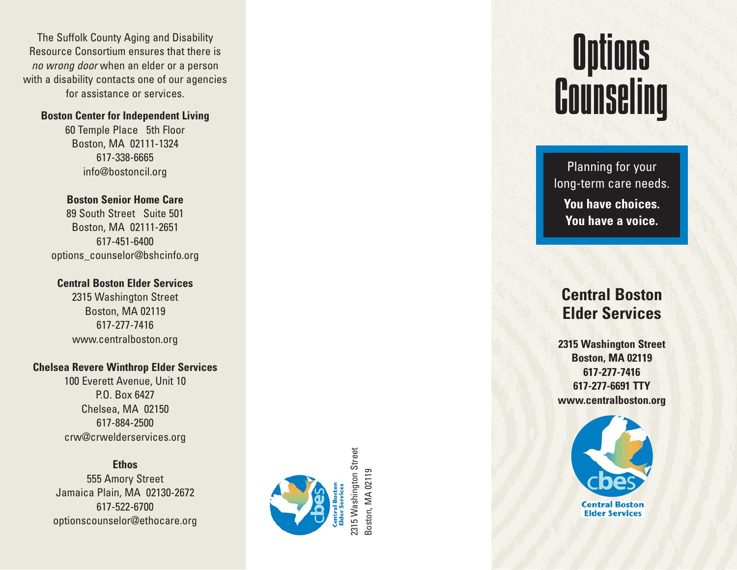The Suffolk County Aging and Disability Resource Consortium ensures that there is no wrong door when an elder or a person with a disability contacts one of our agencies for assistance or services.

#### **Boston Center for Independent Living**

60 Temple Place 5th Floor Boston, MA 02111-1324 617-338-6665 info@bostoncil.org

### **Boston Senior Home Care**

89 South Street Suite 501 Boston, MA 02111-2651 617-451-6400 options\_counselor@bshcinfo.org

#### **Central Boston Elder Services**

2315 Washington Street Boston, MA 02119 617-277-7416 www.centralboston.org

#### **Chelsea Revere Winthrop Elder Services**

100 Everett Avenue, Unit 10 P.O. Box 6427 Chelsea, MA 02150 617-884-2500 crw@crwelderservices.org

**Ethos** 555 Amory Street Jamaica Plain, MA 02130-2672 617-522-6700 optionscounselor@ethocare.org



# **Options Counseling**

Planning for your long-term care needs. **You have choices. You have a voice.**

### **Central Boston Elder Services**

**2315 Washington Street Boston, MA 02119 617-277-7416 617-277-6691 TTY www.centralboston.org**